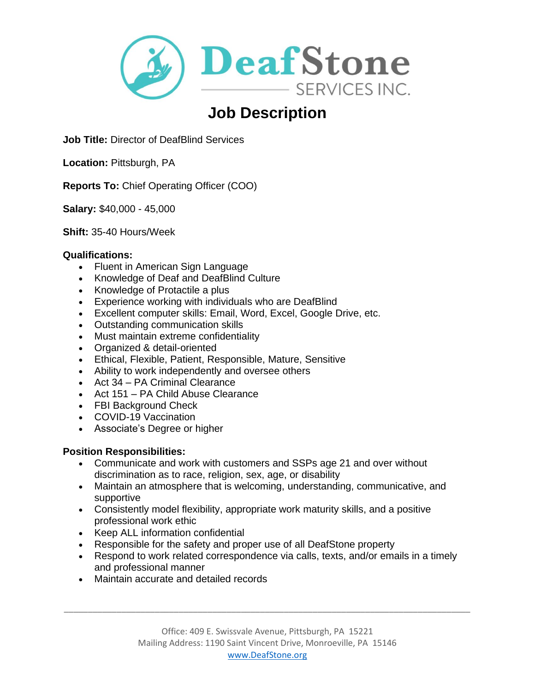

# **Job Description**

**Job Title:** Director of DeafBlind Services

**Location: Pittsburgh, PA** 

**Reports To:** Chief Operating Officer (COO)

**Salary:** \$40,000 - 45,000

**Shift:** 35-40 Hours/Week

#### **Qualifications:**

- Fluent in American Sign Language
- Knowledge of Deaf and DeafBlind Culture
- Knowledge of Protactile a plus
- Experience working with individuals who are DeafBlind
- Excellent computer skills: Email, Word, Excel, Google Drive, etc.
- Outstanding communication skills
- Must maintain extreme confidentiality
- Organized & detail-oriented
- Ethical, Flexible, Patient, Responsible, Mature, Sensitive
- Ability to work independently and oversee others
- Act 34 PA Criminal Clearance
- Act 151 PA Child Abuse Clearance
- FBI Background Check
- COVID-19 Vaccination
- Associate's Degree or higher

## **Position Responsibilities:**

- Communicate and work with customers and SSPs age 21 and over without discrimination as to race, religion, sex, age, or disability
- Maintain an atmosphere that is welcoming, understanding, communicative, and supportive
- Consistently model flexibility, appropriate work maturity skills, and a positive professional work ethic
- Keep ALL information confidential
- Responsible for the safety and proper use of all DeafStone property
- Respond to work related correspondence via calls, texts, and/or emails in a timely and professional manner
- Maintain accurate and detailed records

\_\_\_\_\_\_\_\_\_\_\_\_\_\_\_\_\_\_\_\_\_\_\_\_\_\_\_\_\_\_\_\_\_\_\_\_\_\_\_\_\_\_\_\_\_\_\_\_\_\_\_\_\_\_\_\_\_\_\_\_\_\_\_\_\_\_\_\_\_\_\_\_\_\_\_\_\_\_\_\_\_\_\_\_\_